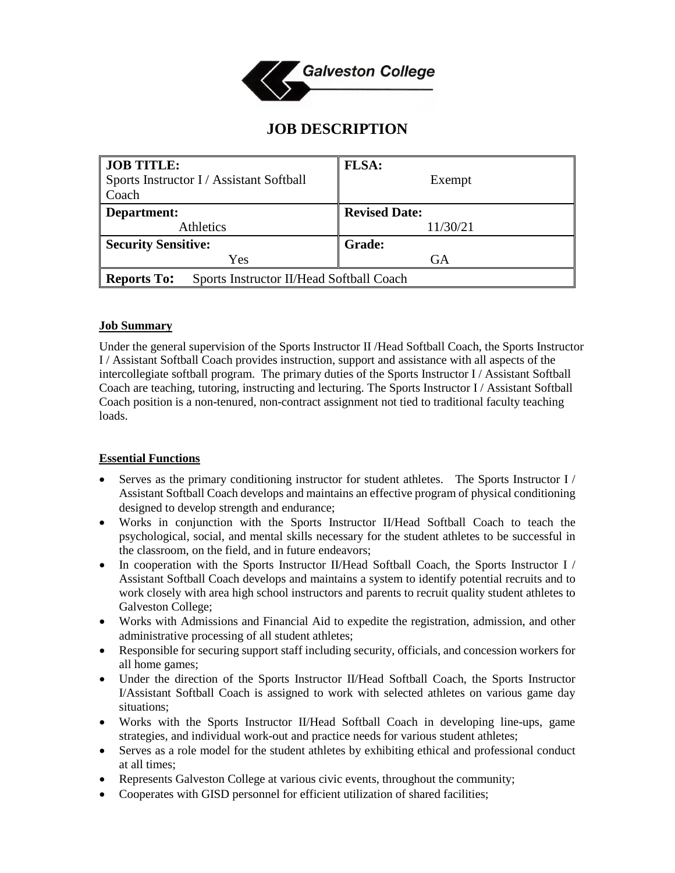

# **JOB DESCRIPTION**

| <b>JOB TITLE:</b>                                              | <b>FLSA:</b>         |
|----------------------------------------------------------------|----------------------|
| Sports Instructor I / Assistant Softball                       | Exempt               |
| Coach                                                          |                      |
| Department:                                                    | <b>Revised Date:</b> |
| <b>Athletics</b>                                               | 11/30/21             |
| <b>Security Sensitive:</b>                                     | <b>Grade:</b>        |
| Yes                                                            | GA                   |
| <b>Reports To:</b><br>Sports Instructor II/Head Softball Coach |                      |

## **Job Summary**

Under the general supervision of the Sports Instructor II /Head Softball Coach, the Sports Instructor I / Assistant Softball Coach provides instruction, support and assistance with all aspects of the intercollegiate softball program. The primary duties of the Sports Instructor I / Assistant Softball Coach are teaching, tutoring, instructing and lecturing. The Sports Instructor I / Assistant Softball Coach position is a non-tenured, non-contract assignment not tied to traditional faculty teaching loads.

## **Essential Functions**

- Serves as the primary conditioning instructor for student athletes. The Sports Instructor I / Assistant Softball Coach develops and maintains an effective program of physical conditioning designed to develop strength and endurance;
- Works in conjunction with the Sports Instructor II/Head Softball Coach to teach the psychological, social, and mental skills necessary for the student athletes to be successful in the classroom, on the field, and in future endeavors;
- In cooperation with the Sports Instructor II/Head Softball Coach, the Sports Instructor I Assistant Softball Coach develops and maintains a system to identify potential recruits and to work closely with area high school instructors and parents to recruit quality student athletes to Galveston College;
- Works with Admissions and Financial Aid to expedite the registration, admission, and other administrative processing of all student athletes;
- Responsible for securing support staff including security, officials, and concession workers for all home games;
- Under the direction of the Sports Instructor II/Head Softball Coach, the Sports Instructor I/Assistant Softball Coach is assigned to work with selected athletes on various game day situations;
- Works with the Sports Instructor II/Head Softball Coach in developing line-ups, game strategies, and individual work-out and practice needs for various student athletes;
- Serves as a role model for the student athletes by exhibiting ethical and professional conduct at all times;
- Represents Galveston College at various civic events, throughout the community;
- Cooperates with GISD personnel for efficient utilization of shared facilities;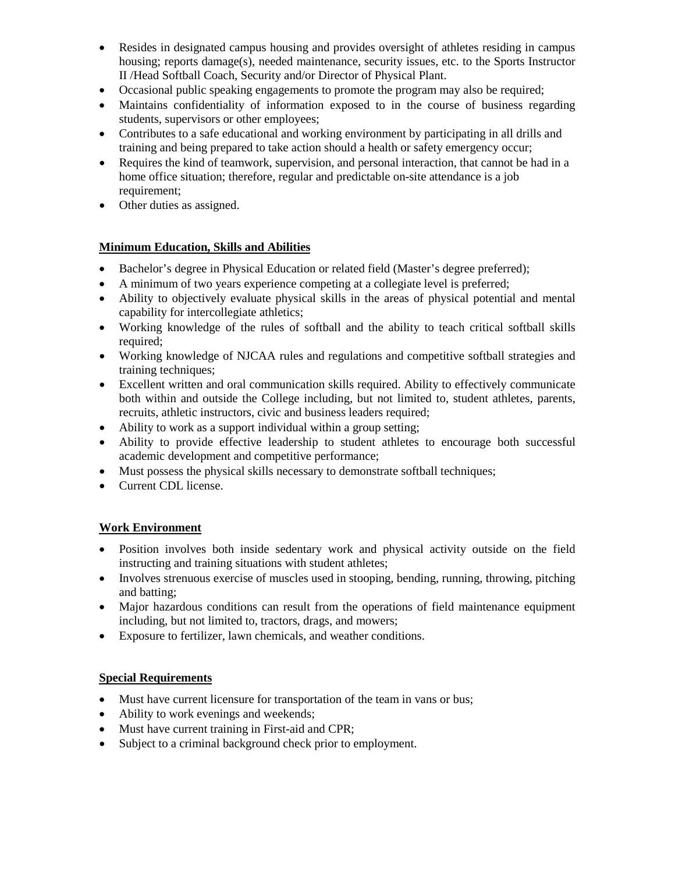- Resides in designated campus housing and provides oversight of athletes residing in campus housing; reports damage(s), needed maintenance, security issues, etc. to the Sports Instructor II /Head Softball Coach, Security and/or Director of Physical Plant.
- Occasional public speaking engagements to promote the program may also be required;
- Maintains confidentiality of information exposed to in the course of business regarding students, supervisors or other employees;
- Contributes to a safe educational and working environment by participating in all drills and training and being prepared to take action should a health or safety emergency occur;
- Requires the kind of teamwork, supervision, and personal interaction, that cannot be had in a home office situation; therefore, regular and predictable on-site attendance is a job requirement;
- Other duties as assigned.

## **Minimum Education, Skills and Abilities**

- Bachelor's degree in Physical Education or related field (Master's degree preferred);
- A minimum of two years experience competing at a collegiate level is preferred;
- Ability to objectively evaluate physical skills in the areas of physical potential and mental capability for intercollegiate athletics;
- Working knowledge of the rules of softball and the ability to teach critical softball skills required;
- Working knowledge of NJCAA rules and regulations and competitive softball strategies and training techniques;
- Excellent written and oral communication skills required. Ability to effectively communicate both within and outside the College including, but not limited to, student athletes, parents, recruits, athletic instructors, civic and business leaders required;
- Ability to work as a support individual within a group setting;
- Ability to provide effective leadership to student athletes to encourage both successful academic development and competitive performance;
- Must possess the physical skills necessary to demonstrate softball techniques;
- Current CDL license.

## **Work Environment**

- Position involves both inside sedentary work and physical activity outside on the field instructing and training situations with student athletes;
- Involves strenuous exercise of muscles used in stooping, bending, running, throwing, pitching and batting;
- Major hazardous conditions can result from the operations of field maintenance equipment including, but not limited to, tractors, drags, and mowers;
- Exposure to fertilizer, lawn chemicals, and weather conditions.

## **Special Requirements**

- Must have current licensure for transportation of the team in vans or bus;
- Ability to work evenings and weekends;
- Must have current training in First-aid and CPR;
- Subject to a criminal background check prior to employment.